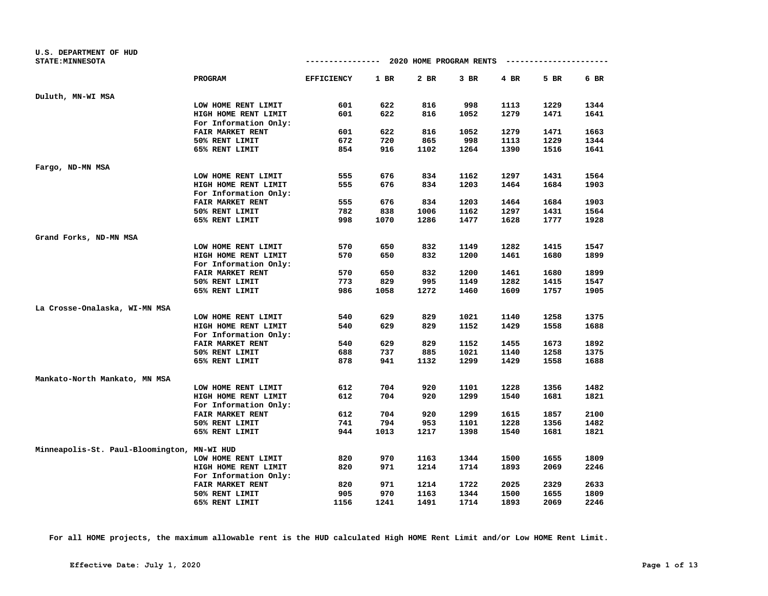| <b>U.S. DEPARTMENT OF HUD</b><br><b>STATE: MINNESOTA</b> |                         | --------------    |      | 2020 HOME PROGRAM RENTS |        |        | ---------------------- |      |
|----------------------------------------------------------|-------------------------|-------------------|------|-------------------------|--------|--------|------------------------|------|
|                                                          |                         |                   |      |                         |        |        |                        |      |
|                                                          | PROGRAM                 | <b>EFFICIENCY</b> | 1 BR | 2 BR                    | $3$ BR | $4$ BR | 5 BR                   | 6 BR |
| Duluth, MN-WI MSA                                        |                         |                   |      |                         |        |        |                        |      |
|                                                          | LOW HOME RENT LIMIT     | 601               | 622  | 816                     | 998    | 1113   | 1229                   | 1344 |
|                                                          | HIGH HOME RENT LIMIT    | 601               | 622  | 816                     | 1052   | 1279   | 1471                   | 1641 |
|                                                          | For Information Only:   |                   |      |                         |        |        |                        |      |
|                                                          | FAIR MARKET RENT        | 601               | 622  | 816                     | 1052   | 1279   | 1471                   | 1663 |
|                                                          | 50% RENT LIMIT          | 672               | 720  | 865                     | 998    | 1113   | 1229                   | 1344 |
|                                                          | 65% RENT LIMIT          | 854               | 916  | 1102                    | 1264   | 1390   | 1516                   | 1641 |
| Fargo, ND-MN MSA                                         |                         |                   |      |                         |        |        |                        |      |
|                                                          | LOW HOME RENT LIMIT     | 555               | 676  | 834                     | 1162   | 1297   | 1431                   | 1564 |
|                                                          | HIGH HOME RENT LIMIT    | 555               | 676  | 834                     | 1203   | 1464   | 1684                   | 1903 |
|                                                          | For Information Only:   |                   |      |                         |        |        |                        |      |
|                                                          | FAIR MARKET RENT        | 555               | 676  | 834                     | 1203   | 1464   | 1684                   | 1903 |
|                                                          | 50% RENT LIMIT          | 782               | 838  | 1006                    | 1162   | 1297   | 1431                   | 1564 |
|                                                          | 65% RENT LIMIT          | 998               | 1070 | 1286                    | 1477   | 1628   | 1777                   | 1928 |
|                                                          |                         |                   |      |                         |        |        |                        |      |
| Grand Forks, ND-MN MSA                                   |                         |                   |      |                         |        |        |                        |      |
|                                                          | LOW HOME RENT LIMIT     | 570               | 650  | 832                     | 1149   | 1282   | 1415                   | 1547 |
|                                                          | HIGH HOME RENT LIMIT    | 570               | 650  | 832                     | 1200   | 1461   | 1680                   | 1899 |
|                                                          | For Information Only:   | 570               | 650  |                         | 1200   |        |                        |      |
|                                                          | FAIR MARKET RENT        |                   |      | 832                     |        | 1461   | 1680                   | 1899 |
|                                                          | 50% RENT LIMIT          | 773               | 829  | 995                     | 1149   | 1282   | 1415                   | 1547 |
|                                                          | 65% RENT LIMIT          | 986               | 1058 | 1272                    | 1460   | 1609   | 1757                   | 1905 |
| La Crosse-Onalaska, WI-MN MSA                            |                         |                   |      |                         |        |        |                        |      |
|                                                          | LOW HOME RENT LIMIT     | 540               | 629  | 829                     | 1021   | 1140   | 1258                   | 1375 |
|                                                          | HIGH HOME RENT LIMIT    | 540               | 629  | 829                     | 1152   | 1429   | 1558                   | 1688 |
|                                                          | For Information Only:   |                   |      |                         |        |        |                        |      |
|                                                          | <b>FAIR MARKET RENT</b> | 540               | 629  | 829                     | 1152   | 1455   | 1673                   | 1892 |
|                                                          | 50% RENT LIMIT          | 688               | 737  | 885                     | 1021   | 1140   | 1258                   | 1375 |
|                                                          | 65% RENT LIMIT          | 878               | 941  | 1132                    | 1299   | 1429   | 1558                   | 1688 |
| Mankato-North Mankato, MN MSA                            |                         |                   |      |                         |        |        |                        |      |
|                                                          | LOW HOME RENT LIMIT     | 612               | 704  | 920                     | 1101   | 1228   | 1356                   | 1482 |
|                                                          | HIGH HOME RENT LIMIT    | 612               | 704  | 920                     | 1299   | 1540   | 1681                   | 1821 |
|                                                          | For Information Only:   |                   |      |                         |        |        |                        |      |
|                                                          | FAIR MARKET RENT        | 612               | 704  | 920                     | 1299   | 1615   | 1857                   | 2100 |
|                                                          | 50% RENT LIMIT          | 741               | 794  | 953                     | 1101   | 1228   | 1356                   | 1482 |
|                                                          | 65% RENT LIMIT          | 944               | 1013 | 1217                    | 1398   | 1540   | 1681                   | 1821 |
| Minneapolis-St. Paul-Bloomington, MN-WI HUD              |                         |                   |      |                         |        |        |                        |      |
|                                                          | LOW HOME RENT LIMIT     | 820               | 970  | 1163                    | 1344   | 1500   | 1655                   | 1809 |
|                                                          | HIGH HOME RENT LIMIT    | 820               | 971  | 1214                    | 1714   | 1893   | 2069                   | 2246 |
|                                                          | For Information Only:   |                   |      |                         |        |        |                        |      |
|                                                          | FAIR MARKET RENT        | 820               | 971  | 1214                    | 1722   | 2025   | 2329                   | 2633 |
|                                                          | 50% RENT LIMIT          | 905               | 970  | 1163                    | 1344   | 1500   | 1655                   | 1809 |
|                                                          | 65% RENT LIMIT          | 1156              | 1241 | 1491                    | 1714   | 1893   | 2069                   | 2246 |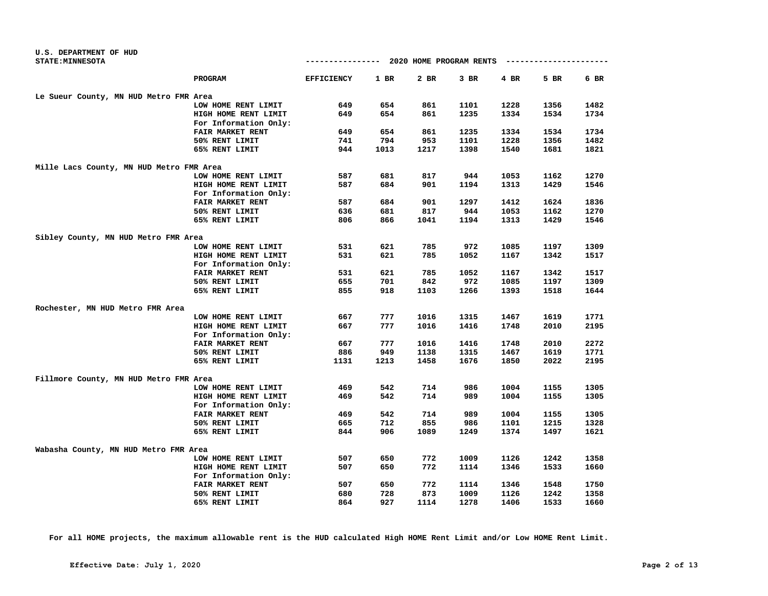| U.S. DEPARTMENT OF HUD                   |                       |                                        |      |      |      |      |                     |      |
|------------------------------------------|-----------------------|----------------------------------------|------|------|------|------|---------------------|------|
| STATE: MINNESOTA                         |                       | -------------- 2020 HOME PROGRAM RENTS |      |      |      |      | ------------------- |      |
|                                          | PROGRAM               | <b>EFFICIENCY</b>                      | 1 BR | 2 BR | 3 BR | 4 BR | 5 BR                | 6 BR |
| Le Sueur County, MN HUD Metro FMR Area   |                       |                                        |      |      |      |      |                     |      |
|                                          | LOW HOME RENT LIMIT   | 649                                    | 654  | 861  | 1101 | 1228 | 1356                | 1482 |
|                                          | HIGH HOME RENT LIMIT  | 649                                    | 654  | 861  | 1235 | 1334 | 1534                | 1734 |
|                                          | For Information Only: |                                        |      |      |      |      |                     |      |
|                                          | FAIR MARKET RENT      | 649                                    | 654  | 861  | 1235 | 1334 | 1534                | 1734 |
|                                          | 50% RENT LIMIT        | 741                                    | 794  | 953  | 1101 | 1228 | 1356                | 1482 |
|                                          | 65% RENT LIMIT        | 944                                    | 1013 | 1217 | 1398 | 1540 | 1681                | 1821 |
| Mille Lacs County, MN HUD Metro FMR Area |                       |                                        |      |      |      |      |                     |      |
|                                          | LOW HOME RENT LIMIT   | 587                                    | 681  | 817  | 944  | 1053 | 1162                | 1270 |
|                                          | HIGH HOME RENT LIMIT  | 587                                    | 684  | 901  | 1194 | 1313 | 1429                | 1546 |
|                                          | For Information Only: |                                        |      |      |      |      |                     |      |
|                                          | FAIR MARKET RENT      | 587                                    | 684  | 901  | 1297 | 1412 | 1624                | 1836 |
|                                          | 50% RENT LIMIT        | 636                                    | 681  | 817  | 944  | 1053 | 1162                | 1270 |
|                                          | 65% RENT LIMIT        | 806                                    | 866  | 1041 | 1194 | 1313 | 1429                | 1546 |
| Sibley County, MN HUD Metro FMR Area     |                       |                                        |      |      |      |      |                     |      |
|                                          | LOW HOME RENT LIMIT   | 531                                    | 621  | 785  | 972  | 1085 | 1197                | 1309 |
|                                          | HIGH HOME RENT LIMIT  | 531                                    | 621  | 785  | 1052 | 1167 | 1342                | 1517 |
|                                          | For Information Only: |                                        |      |      |      |      |                     |      |
|                                          | FAIR MARKET RENT      | 531                                    | 621  | 785  | 1052 | 1167 | 1342                | 1517 |
|                                          | 50% RENT LIMIT        | 655                                    | 701  | 842  | 972  | 1085 | 1197                | 1309 |
|                                          | 65% RENT LIMIT        | 855                                    | 918  | 1103 | 1266 | 1393 | 1518                | 1644 |
| Rochester, MN HUD Metro FMR Area         |                       |                                        |      |      |      |      |                     |      |
|                                          | LOW HOME RENT LIMIT   | 667                                    | 777  | 1016 | 1315 | 1467 | 1619                | 1771 |
|                                          | HIGH HOME RENT LIMIT  | 667                                    | 777  | 1016 | 1416 | 1748 | 2010                | 2195 |
|                                          | For Information Only: |                                        |      |      |      |      |                     |      |
|                                          | FAIR MARKET RENT      | 667                                    | 777  | 1016 | 1416 | 1748 | 2010                | 2272 |
|                                          | 50% RENT LIMIT        | 886                                    | 949  | 1138 | 1315 | 1467 | 1619                | 1771 |
|                                          | 65% RENT LIMIT        | 1131                                   | 1213 | 1458 | 1676 | 1850 | 2022                | 2195 |
| Fillmore County, MN HUD Metro FMR Area   |                       |                                        |      |      |      |      |                     |      |
|                                          | LOW HOME RENT LIMIT   | 469                                    | 542  | 714  | 986  | 1004 | 1155                | 1305 |
|                                          | HIGH HOME RENT LIMIT  | 469                                    | 542  | 714  | 989  | 1004 | 1155                | 1305 |
|                                          | For Information Only: |                                        |      |      |      |      |                     |      |
|                                          | FAIR MARKET RENT      | 469                                    | 542  | 714  | 989  | 1004 | 1155                | 1305 |
|                                          | 50% RENT LIMIT        | 665                                    | 712  | 855  | 986  | 1101 | 1215                | 1328 |
|                                          | 65% RENT LIMIT        | 844                                    | 906  | 1089 | 1249 | 1374 | 1497                | 1621 |
| Wabasha County, MN HUD Metro FMR Area    |                       |                                        |      |      |      |      |                     |      |
|                                          | LOW HOME RENT LIMIT   | 507                                    | 650  | 772  | 1009 | 1126 | 1242                | 1358 |
|                                          | HIGH HOME RENT LIMIT  | 507                                    | 650  | 772  | 1114 | 1346 | 1533                | 1660 |
|                                          | For Information Only: |                                        |      |      |      |      |                     |      |
|                                          | FAIR MARKET RENT      | 507                                    | 650  | 772  | 1114 | 1346 | 1548                | 1750 |
|                                          | 50% RENT LIMIT        | 680                                    | 728  | 873  | 1009 | 1126 | 1242                | 1358 |
|                                          | 65% RENT LIMIT        | 864                                    | 927  | 1114 | 1278 | 1406 | 1533                | 1660 |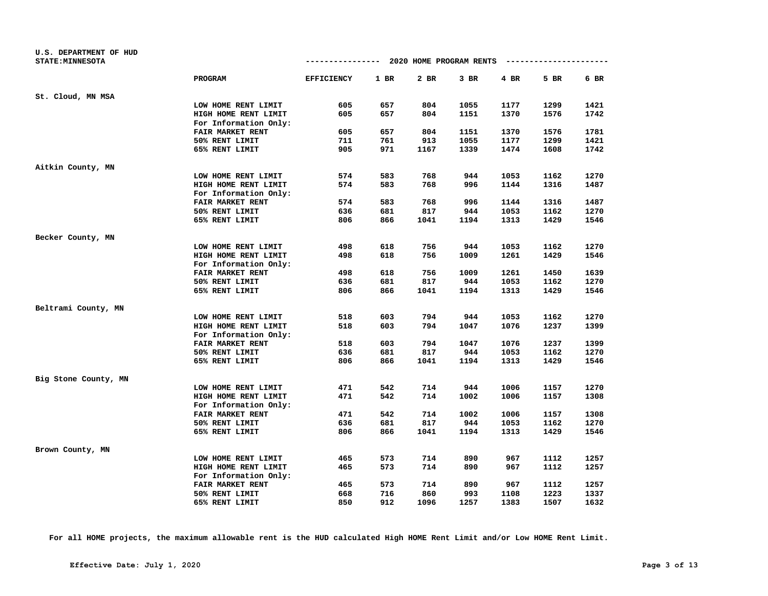| U.S. DEPARTMENT OF HUD<br><b>STATE: MINNESOTA</b> |                       |                   |        | ------------- 2020 HOME PROGRAM RENTS |        |      | --------------------- |      |
|---------------------------------------------------|-----------------------|-------------------|--------|---------------------------------------|--------|------|-----------------------|------|
|                                                   | <b>PROGRAM</b>        | <b>EFFICIENCY</b> | $1$ BR | 2 BR                                  | $3$ BR | 4 BR | 5 BR                  | 6 BR |
| St. Cloud, MN MSA                                 |                       |                   |        |                                       |        |      |                       |      |
|                                                   | LOW HOME RENT LIMIT   | 605               | 657    | 804                                   | 1055   | 1177 | 1299                  | 1421 |
|                                                   | HIGH HOME RENT LIMIT  | 605               | 657    | 804                                   | 1151   | 1370 | 1576                  | 1742 |
|                                                   | For Information Only: |                   |        |                                       |        |      |                       |      |
|                                                   | FAIR MARKET RENT      | 605               | 657    | 804                                   | 1151   | 1370 | 1576                  | 1781 |
|                                                   | 50% RENT LIMIT        | 711               | 761    | 913                                   | 1055   | 1177 | 1299                  | 1421 |
|                                                   | 65% RENT LIMIT        | 905               | 971    | 1167                                  | 1339   | 1474 | 1608                  | 1742 |
| Aitkin County, MN                                 |                       |                   |        |                                       |        |      |                       |      |
|                                                   | LOW HOME RENT LIMIT   | 574               | 583    | 768                                   | 944    | 1053 | 1162                  | 1270 |
|                                                   | HIGH HOME RENT LIMIT  | 574               | 583    | 768                                   | 996    | 1144 | 1316                  | 1487 |
|                                                   | For Information Only: |                   |        |                                       |        |      |                       |      |
|                                                   | FAIR MARKET RENT      | 574               | 583    | 768                                   | 996    | 1144 | 1316                  | 1487 |
|                                                   | 50% RENT LIMIT        | 636               | 681    | 817                                   | 944    | 1053 | 1162                  | 1270 |
|                                                   | 65% RENT LIMIT        | 806               | 866    | 1041                                  | 1194   | 1313 | 1429                  | 1546 |
| Becker County, MN                                 |                       |                   |        |                                       |        |      |                       |      |
|                                                   | LOW HOME RENT LIMIT   | 498               | 618    | 756                                   | 944    | 1053 | 1162                  | 1270 |
|                                                   | HIGH HOME RENT LIMIT  | 498               | 618    | 756                                   | 1009   | 1261 | 1429                  | 1546 |
|                                                   | For Information Only: |                   |        |                                       |        |      |                       |      |
|                                                   | FAIR MARKET RENT      | 498               | 618    | 756                                   | 1009   | 1261 | 1450                  | 1639 |
|                                                   | 50% RENT LIMIT        | 636               | 681    | 817                                   | 944    | 1053 | 1162                  | 1270 |
|                                                   | 65% RENT LIMIT        | 806               | 866    | 1041                                  | 1194   | 1313 | 1429                  | 1546 |
| Beltrami County, MN                               |                       |                   |        |                                       |        |      |                       |      |
|                                                   | LOW HOME RENT LIMIT   | 518               | 603    | 794                                   | 944    | 1053 | 1162                  | 1270 |
|                                                   | HIGH HOME RENT LIMIT  | 518               | 603    | 794                                   | 1047   | 1076 | 1237                  | 1399 |
|                                                   | For Information Only: |                   |        |                                       |        |      |                       |      |
|                                                   | FAIR MARKET RENT      | 518               | 603    | 794                                   | 1047   | 1076 | 1237                  | 1399 |
|                                                   | 50% RENT LIMIT        | 636               | 681    | 817                                   | 944    | 1053 | 1162                  | 1270 |
|                                                   | 65% RENT LIMIT        | 806               | 866    | 1041                                  | 1194   | 1313 | 1429                  | 1546 |
| Big Stone County, MN                              |                       |                   |        |                                       |        |      |                       |      |
|                                                   | LOW HOME RENT LIMIT   | 471               | 542    | 714                                   | 944    | 1006 | 1157                  | 1270 |
|                                                   | HIGH HOME RENT LIMIT  | 471               | 542    | 714                                   | 1002   | 1006 | 1157                  | 1308 |
|                                                   | For Information Only: |                   |        |                                       |        |      |                       |      |
|                                                   | FAIR MARKET RENT      | 471               | 542    | 714                                   | 1002   | 1006 | 1157                  | 1308 |
|                                                   | 50% RENT LIMIT        | 636               | 681    | 817                                   | 944    | 1053 | 1162                  | 1270 |
|                                                   | 65% RENT LIMIT        | 806               | 866    | 1041                                  | 1194   | 1313 | 1429                  | 1546 |
| Brown County, MN                                  |                       |                   |        |                                       |        |      |                       |      |
|                                                   | LOW HOME RENT LIMIT   | 465               | 573    | 714                                   | 890    | 967  | 1112                  | 1257 |
|                                                   | HIGH HOME RENT LIMIT  | 465               | 573    | 714                                   | 890    | 967  | 1112                  | 1257 |
|                                                   | For Information Only: |                   |        |                                       |        |      |                       |      |
|                                                   | FAIR MARKET RENT      | 465               | 573    | 714                                   | 890    | 967  | 1112                  | 1257 |
|                                                   | 50% RENT LIMIT        | 668               | 716    | 860                                   | 993    | 1108 | 1223                  | 1337 |
|                                                   | 65% RENT LIMIT        | 850               | 912    | 1096                                  | 1257   | 1383 | 1507                  | 1632 |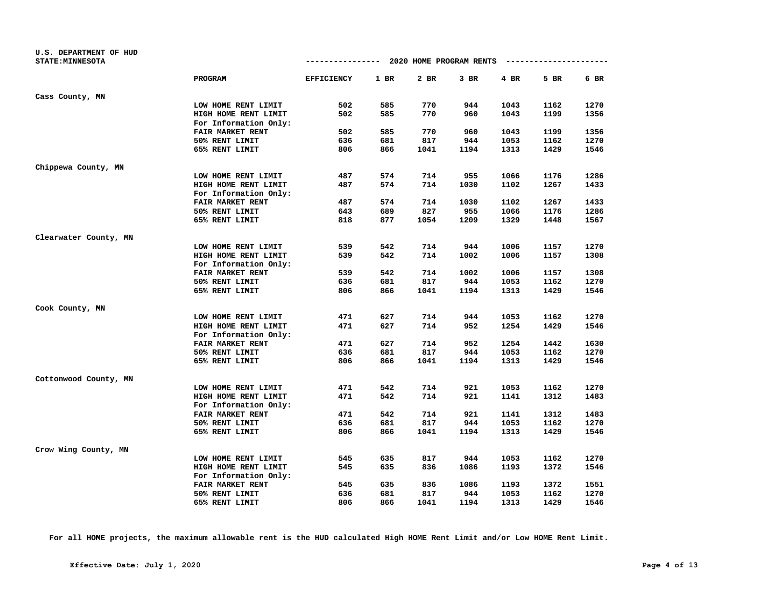| U.S. DEPARTMENT OF HUD<br><b>STATE: MINNESOTA</b> |                                               |                   |        | ------------- 2020 HOME PROGRAM RENTS |        |      | -------------------- |      |
|---------------------------------------------------|-----------------------------------------------|-------------------|--------|---------------------------------------|--------|------|----------------------|------|
|                                                   | <b>PROGRAM</b>                                | <b>EFFICIENCY</b> | $1$ BR | 2 BR                                  | $3$ BR | 4 BR | 5 BR                 | 6 BR |
| Cass County, MN                                   |                                               |                   |        |                                       |        |      |                      |      |
|                                                   | LOW HOME RENT LIMIT                           | 502               | 585    | 770                                   | 944    | 1043 | 1162                 | 1270 |
|                                                   | HIGH HOME RENT LIMIT                          | 502               | 585    | 770                                   | 960    | 1043 | 1199                 | 1356 |
|                                                   | For Information Only:                         |                   |        |                                       |        |      |                      |      |
|                                                   | FAIR MARKET RENT                              | 502               | 585    | 770                                   | 960    | 1043 | 1199                 | 1356 |
|                                                   | 50% RENT LIMIT                                | 636               | 681    | 817                                   | 944    | 1053 | 1162                 | 1270 |
|                                                   | 65% RENT LIMIT                                | 806               | 866    | 1041                                  | 1194   | 1313 | 1429                 | 1546 |
| Chippewa County, MN                               |                                               |                   |        |                                       |        |      |                      |      |
|                                                   | LOW HOME RENT LIMIT                           | 487               | 574    | 714                                   | 955    | 1066 | 1176                 | 1286 |
|                                                   | HIGH HOME RENT LIMIT                          | 487               | 574    | 714                                   | 1030   | 1102 | 1267                 | 1433 |
|                                                   | For Information Only:                         |                   |        |                                       |        |      |                      |      |
|                                                   | FAIR MARKET RENT                              | 487               | 574    | 714                                   | 1030   | 1102 | 1267                 | 1433 |
|                                                   | 50% RENT LIMIT                                | 643               | 689    | 827                                   | 955    | 1066 | 1176                 | 1286 |
|                                                   | 65% RENT LIMIT                                | 818               | 877    | 1054                                  | 1209   | 1329 | 1448                 | 1567 |
| Clearwater County, MN                             |                                               |                   |        |                                       |        |      |                      |      |
|                                                   | LOW HOME RENT LIMIT                           | 539               | 542    | 714                                   | 944    | 1006 | 1157                 | 1270 |
|                                                   | HIGH HOME RENT LIMIT                          | 539               | 542    | 714                                   | 1002   | 1006 | 1157                 | 1308 |
|                                                   | For Information Only:                         |                   |        |                                       |        |      |                      |      |
|                                                   | <b>FAIR MARKET RENT</b>                       | 539               | 542    | 714                                   | 1002   | 1006 | 1157                 | 1308 |
|                                                   | 50% RENT LIMIT                                | 636               | 681    | 817                                   | 944    | 1053 | 1162                 | 1270 |
|                                                   | 65% RENT LIMIT                                | 806               | 866    | 1041                                  | 1194   | 1313 | 1429                 | 1546 |
| Cook County, MN                                   |                                               |                   |        |                                       |        |      |                      |      |
|                                                   | LOW HOME RENT LIMIT                           | 471               | 627    | 714                                   | 944    | 1053 | 1162                 | 1270 |
|                                                   | HIGH HOME RENT LIMIT<br>For Information Only: | 471               | 627    | 714                                   | 952    | 1254 | 1429                 | 1546 |
|                                                   | FAIR MARKET RENT                              | 471               | 627    | 714                                   | 952    | 1254 | 1442                 | 1630 |
|                                                   | 50% RENT LIMIT                                | 636               | 681    | 817                                   | 944    | 1053 | 1162                 | 1270 |
|                                                   | 65% RENT LIMIT                                | 806               | 866    | 1041                                  | 1194   | 1313 | 1429                 | 1546 |
| Cottonwood County, MN                             |                                               |                   |        |                                       |        |      |                      |      |
|                                                   | LOW HOME RENT LIMIT                           | 471               | 542    | 714                                   | 921    | 1053 | 1162                 | 1270 |
|                                                   | HIGH HOME RENT LIMIT                          | 471               | 542    | 714                                   | 921    | 1141 | 1312                 | 1483 |
|                                                   | For Information Only:                         |                   |        |                                       |        |      |                      |      |
|                                                   | FAIR MARKET RENT                              | 471               | 542    | 714                                   | 921    | 1141 | 1312                 | 1483 |
|                                                   | 50% RENT LIMIT                                | 636               | 681    | 817                                   | 944    | 1053 | 1162                 | 1270 |
|                                                   | 65% RENT LIMIT                                | 806               | 866    | 1041                                  | 1194   | 1313 | 1429                 | 1546 |
| Crow Wing County, MN                              |                                               |                   |        |                                       |        |      |                      |      |
|                                                   | LOW HOME RENT LIMIT                           | 545               | 635    | 817                                   | 944    | 1053 | 1162                 | 1270 |
|                                                   | HIGH HOME RENT LIMIT                          | 545               | 635    | 836                                   | 1086   | 1193 | 1372                 | 1546 |
|                                                   | For Information Only:                         |                   |        |                                       |        |      |                      |      |
|                                                   | FAIR MARKET RENT                              | 545               | 635    | 836                                   | 1086   | 1193 | 1372                 | 1551 |
|                                                   | 50% RENT LIMIT                                | 636               | 681    | 817                                   | 944    | 1053 | 1162                 | 1270 |
|                                                   | 65% RENT LIMIT                                | 806               | 866    | 1041                                  | 1194   | 1313 | 1429                 | 1546 |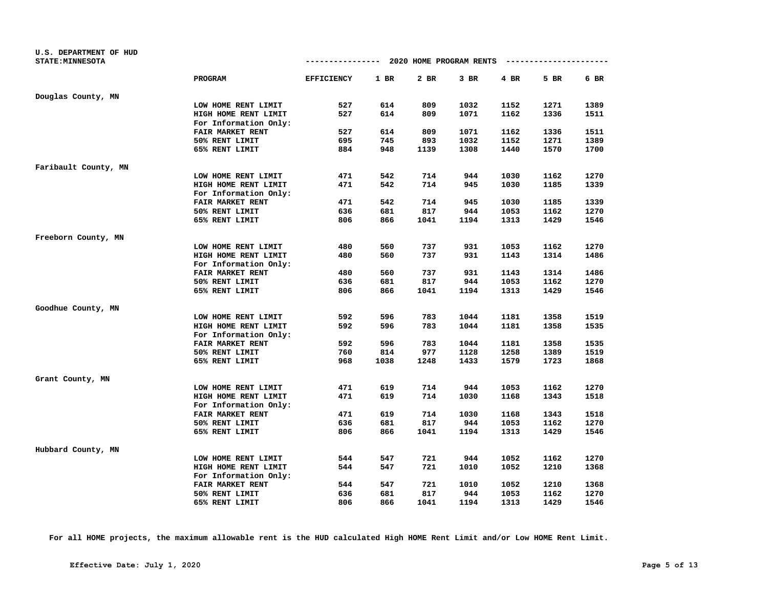| U.S. DEPARTMENT OF HUD<br><b>STATE: MINNESOTA</b> |                         | -------------- 2020 HOME PROGRAM RENTS |      |      |        |        | --------------------- |      |
|---------------------------------------------------|-------------------------|----------------------------------------|------|------|--------|--------|-----------------------|------|
|                                                   |                         |                                        |      |      |        |        |                       |      |
|                                                   | <b>PROGRAM</b>          | <b>EFFICIENCY</b>                      | 1 BR | 2 BR | $3$ BR | $4$ BR | 5 BR                  | 6 BR |
| Douglas County, MN                                |                         |                                        |      |      |        |        |                       |      |
|                                                   | LOW HOME RENT LIMIT     | 527                                    | 614  | 809  | 1032   | 1152   | 1271                  | 1389 |
|                                                   | HIGH HOME RENT LIMIT    | 527                                    | 614  | 809  | 1071   | 1162   | 1336                  | 1511 |
|                                                   | For Information Only:   |                                        |      |      |        |        |                       |      |
|                                                   | FAIR MARKET RENT        | 527                                    | 614  | 809  | 1071   | 1162   | 1336                  | 1511 |
|                                                   | 50% RENT LIMIT          | 695                                    | 745  | 893  | 1032   | 1152   | 1271                  | 1389 |
|                                                   | 65% RENT LIMIT          | 884                                    | 948  | 1139 | 1308   | 1440   | 1570                  | 1700 |
| Faribault County, MN                              |                         |                                        |      |      |        |        |                       |      |
|                                                   | LOW HOME RENT LIMIT     | 471                                    | 542  | 714  | 944    | 1030   | 1162                  | 1270 |
|                                                   | HIGH HOME RENT LIMIT    | 471                                    | 542  | 714  | 945    | 1030   | 1185                  | 1339 |
|                                                   | For Information Only:   |                                        |      |      |        |        |                       |      |
|                                                   | FAIR MARKET RENT        | 471                                    | 542  | 714  | 945    | 1030   | 1185                  | 1339 |
|                                                   | 50% RENT LIMIT          | 636                                    | 681  | 817  | 944    | 1053   | 1162                  | 1270 |
|                                                   | 65% RENT LIMIT          | 806                                    | 866  | 1041 | 1194   | 1313   | 1429                  | 1546 |
| Freeborn County, MN                               |                         |                                        |      |      |        |        |                       |      |
|                                                   | LOW HOME RENT LIMIT     | 480                                    | 560  | 737  | 931    | 1053   | 1162                  | 1270 |
|                                                   | HIGH HOME RENT LIMIT    | 480                                    | 560  | 737  | 931    | 1143   | 1314                  | 1486 |
|                                                   | For Information Only:   |                                        |      |      |        |        |                       |      |
|                                                   | FAIR MARKET RENT        | 480                                    | 560  | 737  | 931    | 1143   | 1314                  | 1486 |
|                                                   | 50% RENT LIMIT          | 636                                    | 681  | 817  | 944    | 1053   | 1162                  | 1270 |
|                                                   | 65% RENT LIMIT          | 806                                    | 866  | 1041 | 1194   | 1313   | 1429                  | 1546 |
| Goodhue County, MN                                |                         |                                        |      |      |        |        |                       |      |
|                                                   | LOW HOME RENT LIMIT     | 592                                    | 596  | 783  | 1044   | 1181   | 1358                  | 1519 |
|                                                   | HIGH HOME RENT LIMIT    | 592                                    | 596  | 783  | 1044   | 1181   | 1358                  | 1535 |
|                                                   | For Information Only:   |                                        |      |      |        |        |                       |      |
|                                                   | <b>FAIR MARKET RENT</b> | 592                                    | 596  | 783  | 1044   | 1181   | 1358                  | 1535 |
|                                                   | 50% RENT LIMIT          | 760                                    | 814  | 977  | 1128   | 1258   | 1389                  | 1519 |
|                                                   | 65% RENT LIMIT          | 968                                    | 1038 | 1248 | 1433   | 1579   | 1723                  | 1868 |
| Grant County, MN                                  |                         |                                        |      |      |        |        |                       |      |
|                                                   | LOW HOME RENT LIMIT     | 471                                    | 619  | 714  | 944    | 1053   | 1162                  | 1270 |
|                                                   | HIGH HOME RENT LIMIT    | 471                                    | 619  | 714  | 1030   | 1168   | 1343                  | 1518 |
|                                                   | For Information Only:   |                                        |      |      |        |        |                       |      |
|                                                   | FAIR MARKET RENT        | 471                                    | 619  | 714  | 1030   | 1168   | 1343                  | 1518 |
|                                                   | 50% RENT LIMIT          | 636                                    | 681  | 817  | 944    | 1053   | 1162                  | 1270 |
|                                                   | 65% RENT LIMIT          | 806                                    | 866  | 1041 | 1194   | 1313   | 1429                  | 1546 |
| Hubbard County, MN                                |                         |                                        |      |      |        |        |                       |      |
|                                                   | LOW HOME RENT LIMIT     | 544                                    | 547  | 721  | 944    | 1052   | 1162                  | 1270 |
|                                                   | HIGH HOME RENT LIMIT    | 544                                    | 547  | 721  | 1010   | 1052   | 1210                  | 1368 |
|                                                   | For Information Only:   |                                        |      |      |        |        |                       |      |
|                                                   | FAIR MARKET RENT        | 544                                    | 547  | 721  | 1010   | 1052   | 1210                  | 1368 |
|                                                   | 50% RENT LIMIT          | 636                                    | 681  | 817  | 944    | 1053   | 1162                  | 1270 |
|                                                   | 65% RENT LIMIT          | 806                                    | 866  | 1041 | 1194   | 1313   | 1429                  | 1546 |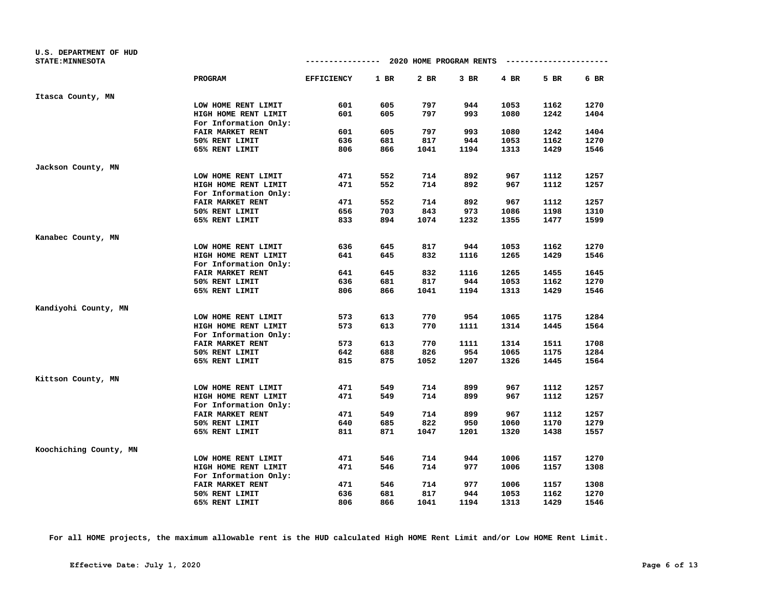| U.S. DEPARTMENT OF HUD<br><b>STATE: MINNESOTA</b> |                         | -------------- 2020 HOME PROGRAM RENTS |      |      |        |        | --------------------- |      |
|---------------------------------------------------|-------------------------|----------------------------------------|------|------|--------|--------|-----------------------|------|
|                                                   | <b>PROGRAM</b>          | <b>EFFICIENCY</b>                      | 1 BR | 2 BR | $3$ BR | $4$ BR | 5 BR                  | 6 BR |
| Itasca County, MN                                 |                         |                                        |      |      |        |        |                       |      |
|                                                   | LOW HOME RENT LIMIT     | 601                                    | 605  | 797  | 944    | 1053   | 1162                  | 1270 |
|                                                   | HIGH HOME RENT LIMIT    | 601                                    | 605  | 797  | 993    | 1080   | 1242                  | 1404 |
|                                                   | For Information Only:   |                                        |      |      |        |        |                       |      |
|                                                   | FAIR MARKET RENT        | 601                                    | 605  | 797  | 993    | 1080   | 1242                  | 1404 |
|                                                   | 50% RENT LIMIT          | 636                                    | 681  | 817  | 944    | 1053   | 1162                  | 1270 |
|                                                   | 65% RENT LIMIT          | 806                                    | 866  | 1041 | 1194   | 1313   | 1429                  | 1546 |
| Jackson County, MN                                |                         |                                        |      |      |        |        |                       |      |
|                                                   | LOW HOME RENT LIMIT     | 471                                    | 552  | 714  | 892    | 967    | 1112                  | 1257 |
|                                                   | HIGH HOME RENT LIMIT    | 471                                    | 552  | 714  | 892    | 967    | 1112                  | 1257 |
|                                                   | For Information Only:   |                                        |      |      |        |        |                       |      |
|                                                   | FAIR MARKET RENT        | 471                                    | 552  | 714  | 892    | 967    | 1112                  | 1257 |
|                                                   | 50% RENT LIMIT          | 656                                    | 703  | 843  | 973    | 1086   | 1198                  | 1310 |
|                                                   | 65% RENT LIMIT          | 833                                    | 894  | 1074 | 1232   | 1355   | 1477                  | 1599 |
| Kanabec County, MN                                |                         |                                        |      |      |        |        |                       |      |
|                                                   | LOW HOME RENT LIMIT     | 636                                    | 645  | 817  | 944    | 1053   | 1162                  | 1270 |
|                                                   | HIGH HOME RENT LIMIT    | 641                                    | 645  | 832  | 1116   | 1265   | 1429                  | 1546 |
|                                                   | For Information Only:   |                                        |      |      |        |        |                       |      |
|                                                   | FAIR MARKET RENT        | 641                                    | 645  | 832  | 1116   | 1265   | 1455                  | 1645 |
|                                                   | 50% RENT LIMIT          | 636                                    | 681  | 817  | 944    | 1053   | 1162                  | 1270 |
|                                                   | 65% RENT LIMIT          | 806                                    | 866  | 1041 | 1194   | 1313   | 1429                  | 1546 |
| Kandiyohi County, MN                              |                         |                                        |      |      |        |        |                       |      |
|                                                   | LOW HOME RENT LIMIT     | 573                                    | 613  | 770  | 954    | 1065   | 1175                  | 1284 |
|                                                   | HIGH HOME RENT LIMIT    | 573                                    | 613  | 770  | 1111   | 1314   | 1445                  | 1564 |
|                                                   | For Information Only:   |                                        |      |      |        |        |                       |      |
|                                                   | FAIR MARKET RENT        | 573                                    | 613  | 770  | 1111   | 1314   | 1511                  | 1708 |
|                                                   | 50% RENT LIMIT          | 642                                    | 688  | 826  | 954    | 1065   | 1175                  | 1284 |
|                                                   | 65% RENT LIMIT          | 815                                    | 875  | 1052 | 1207   | 1326   | 1445                  | 1564 |
| Kittson County, MN                                |                         |                                        |      |      |        |        |                       |      |
|                                                   | LOW HOME RENT LIMIT     | 471                                    | 549  | 714  | 899    | 967    | 1112                  | 1257 |
|                                                   | HIGH HOME RENT LIMIT    | 471                                    | 549  | 714  | 899    | 967    | 1112                  | 1257 |
|                                                   | For Information Only:   |                                        |      |      |        |        |                       |      |
|                                                   | <b>FAIR MARKET RENT</b> | 471                                    | 549  | 714  | 899    | 967    | 1112                  | 1257 |
|                                                   | 50% RENT LIMIT          | 640                                    | 685  | 822  | 950    | 1060   | 1170                  | 1279 |
|                                                   | 65% RENT LIMIT          | 811                                    | 871  | 1047 | 1201   | 1320   | 1438                  | 1557 |
| Koochiching County, MN                            |                         |                                        |      |      |        |        |                       |      |
|                                                   | LOW HOME RENT LIMIT     | 471                                    | 546  | 714  | 944    | 1006   | 1157                  | 1270 |
|                                                   | HIGH HOME RENT LIMIT    | 471                                    | 546  | 714  | 977    | 1006   | 1157                  | 1308 |
|                                                   | For Information Only:   |                                        |      |      |        |        |                       |      |
|                                                   | FAIR MARKET RENT        | 471                                    | 546  | 714  | 977    | 1006   | 1157                  | 1308 |
|                                                   | 50% RENT LIMIT          | 636                                    | 681  | 817  | 944    | 1053   | 1162                  | 1270 |
|                                                   | 65% RENT LIMIT          | 806                                    | 866  | 1041 | 1194   | 1313   | 1429                  | 1546 |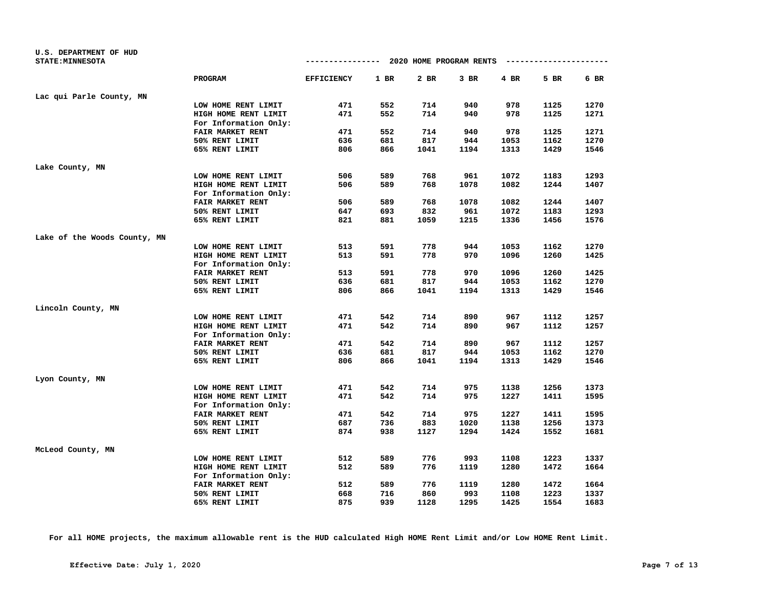| U.S. DEPARTMENT OF HUD       |                         |                                        |      |        |        |      |                       |      |
|------------------------------|-------------------------|----------------------------------------|------|--------|--------|------|-----------------------|------|
| <b>STATE: MINNESOTA</b>      |                         | -------------- 2020 HOME PROGRAM RENTS |      |        |        |      | --------------------- |      |
|                              | <b>PROGRAM</b>          | <b>EFFICIENCY</b>                      | 1 BR | $2$ BR | $3$ BR | 4 BR | 5 BR                  | 6 BR |
| Lac qui Parle County, MN     |                         |                                        |      |        |        |      |                       |      |
|                              | LOW HOME RENT LIMIT     | 471                                    | 552  | 714    | 940    | 978  | 1125                  | 1270 |
|                              | HIGH HOME RENT LIMIT    | 471                                    | 552  | 714    | 940    | 978  | 1125                  | 1271 |
|                              | For Information Only:   |                                        |      |        |        |      |                       |      |
|                              | FAIR MARKET RENT        | 471                                    | 552  | 714    | 940    | 978  | 1125                  | 1271 |
|                              | 50% RENT LIMIT          | 636                                    | 681  | 817    | 944    | 1053 | 1162                  | 1270 |
|                              | 65% RENT LIMIT          | 806                                    | 866  | 1041   | 1194   | 1313 | 1429                  | 1546 |
| Lake County, MN              |                         |                                        |      |        |        |      |                       |      |
|                              | LOW HOME RENT LIMIT     | 506                                    | 589  | 768    | 961    | 1072 | 1183                  | 1293 |
|                              | HIGH HOME RENT LIMIT    | 506                                    | 589  | 768    | 1078   | 1082 | 1244                  | 1407 |
|                              | For Information Only:   |                                        |      |        |        |      |                       |      |
|                              | FAIR MARKET RENT        | 506                                    | 589  | 768    | 1078   | 1082 | 1244                  | 1407 |
|                              | 50% RENT LIMIT          | 647                                    | 693  | 832    | 961    | 1072 | 1183                  | 1293 |
|                              | 65% RENT LIMIT          | 821                                    | 881  | 1059   | 1215   | 1336 | 1456                  | 1576 |
| Lake of the Woods County, MN |                         |                                        |      |        |        |      |                       |      |
|                              | LOW HOME RENT LIMIT     | 513                                    | 591  | 778    | 944    | 1053 | 1162                  | 1270 |
|                              | HIGH HOME RENT LIMIT    | 513                                    | 591  | 778    | 970    | 1096 | 1260                  | 1425 |
|                              | For Information Only:   |                                        |      |        |        |      |                       |      |
|                              | FAIR MARKET RENT        | 513                                    | 591  | 778    | 970    | 1096 | 1260                  | 1425 |
|                              | 50% RENT LIMIT          | 636                                    | 681  | 817    | 944    | 1053 | 1162                  | 1270 |
|                              | 65% RENT LIMIT          | 806                                    | 866  | 1041   | 1194   | 1313 | 1429                  | 1546 |
| Lincoln County, MN           |                         |                                        |      |        |        |      |                       |      |
|                              | LOW HOME RENT LIMIT     | 471                                    | 542  | 714    | 890    | 967  | 1112                  | 1257 |
|                              | HIGH HOME RENT LIMIT    | 471                                    | 542  | 714    | 890    | 967  | 1112                  | 1257 |
|                              | For Information Only:   |                                        |      |        |        |      |                       |      |
|                              | <b>FAIR MARKET RENT</b> | 471                                    | 542  | 714    | 890    | 967  | 1112                  | 1257 |
|                              | 50% RENT LIMIT          | 636                                    | 681  | 817    | 944    | 1053 | 1162                  | 1270 |
|                              | 65% RENT LIMIT          | 806                                    | 866  | 1041   | 1194   | 1313 | 1429                  | 1546 |
| Lyon County, MN              |                         |                                        |      |        |        |      |                       |      |
|                              | LOW HOME RENT LIMIT     | 471                                    | 542  | 714    | 975    | 1138 | 1256                  | 1373 |
|                              | HIGH HOME RENT LIMIT    | 471                                    | 542  | 714    | 975    | 1227 | 1411                  | 1595 |
|                              | For Information Only:   |                                        |      |        |        |      |                       |      |
|                              | FAIR MARKET RENT        | 471                                    | 542  | 714    | 975    | 1227 | 1411                  | 1595 |
|                              | 50% RENT LIMIT          | 687                                    | 736  | 883    | 1020   | 1138 | 1256                  | 1373 |
|                              | 65% RENT LIMIT          | 874                                    | 938  | 1127   | 1294   | 1424 | 1552                  | 1681 |
| McLeod County, MN            |                         |                                        |      |        |        |      |                       |      |
|                              | LOW HOME RENT LIMIT     | 512                                    | 589  | 776    | 993    | 1108 | 1223                  | 1337 |
|                              | HIGH HOME RENT LIMIT    | 512                                    | 589  | 776    | 1119   | 1280 | 1472                  | 1664 |
|                              | For Information Only:   |                                        |      |        |        |      |                       |      |
|                              | FAIR MARKET RENT        | 512                                    | 589  | 776    | 1119   | 1280 | 1472                  | 1664 |
|                              | 50% RENT LIMIT          | 668                                    | 716  | 860    | 993    | 1108 | 1223                  | 1337 |
|                              | 65% RENT LIMIT          | 875                                    | 939  | 1128   | 1295   | 1425 | 1554                  | 1683 |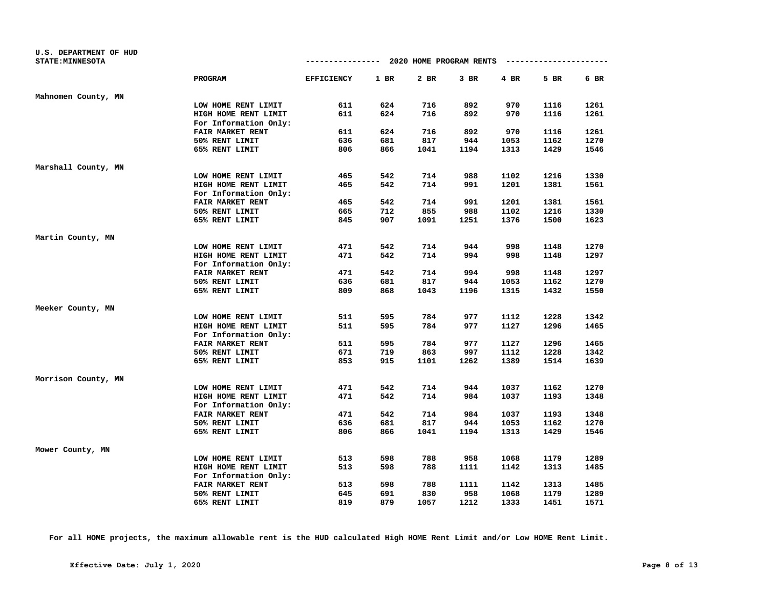|                         |                   |      |      | -------------- 2020 HOME PROGRAM RENTS |        | ---------------------- |      |
|-------------------------|-------------------|------|------|----------------------------------------|--------|------------------------|------|
| <b>STATE: MINNESOTA</b> |                   |      |      |                                        |        |                        |      |
| <b>PROGRAM</b>          | <b>EFFICIENCY</b> | 1 BR | 2 BR | $3$ BR                                 | $4$ BR | 5 BR                   | 6 BR |
| Mahnomen County, MN     |                   |      |      |                                        |        |                        |      |
| LOW HOME RENT LIMIT     | 611               | 624  | 716  | 892                                    | 970    | 1116                   | 1261 |
| HIGH HOME RENT LIMIT    | 611               | 624  | 716  | 892                                    | 970    | 1116                   | 1261 |
| For Information Only:   |                   |      |      |                                        |        |                        |      |
| FAIR MARKET RENT        | 611               | 624  | 716  | 892                                    | 970    | 1116                   | 1261 |
| 50% RENT LIMIT          | 636               | 681  | 817  | 944                                    | 1053   | 1162                   | 1270 |
| 65% RENT LIMIT          | 806               | 866  | 1041 | 1194                                   | 1313   | 1429                   | 1546 |
| Marshall County, MN     |                   |      |      |                                        |        |                        |      |
| LOW HOME RENT LIMIT     | 465               | 542  | 714  | 988                                    | 1102   | 1216                   | 1330 |
| HIGH HOME RENT LIMIT    | 465               | 542  | 714  | 991                                    | 1201   | 1381                   | 1561 |
| For Information Only:   |                   |      |      |                                        |        |                        |      |
| FAIR MARKET RENT        | 465               | 542  | 714  | 991                                    | 1201   | 1381                   | 1561 |
| 50% RENT LIMIT          | 665               | 712  | 855  | 988                                    | 1102   | 1216                   | 1330 |
| 65% RENT LIMIT          | 845               | 907  | 1091 | 1251                                   | 1376   | 1500                   | 1623 |
| Martin County, MN       |                   |      |      |                                        |        |                        |      |
| LOW HOME RENT LIMIT     | 471               | 542  | 714  | 944                                    | 998    | 1148                   | 1270 |
| HIGH HOME RENT LIMIT    | 471               | 542  | 714  | 994                                    | 998    | 1148                   | 1297 |
| For Information Only:   |                   |      |      |                                        |        |                        |      |
| FAIR MARKET RENT        | 471               | 542  | 714  | 994                                    | 998    | 1148                   | 1297 |
| 50% RENT LIMIT          | 636               | 681  | 817  | 944                                    | 1053   | 1162                   | 1270 |
| 65% RENT LIMIT          | 809               | 868  | 1043 | 1196                                   | 1315   | 1432                   | 1550 |
| Meeker County, MN       |                   |      |      |                                        |        |                        |      |
| LOW HOME RENT LIMIT     | 511               | 595  | 784  | 977                                    | 1112   | 1228                   | 1342 |
| HIGH HOME RENT LIMIT    | 511               | 595  | 784  | 977                                    | 1127   | 1296                   | 1465 |
| For Information Only:   |                   |      |      |                                        |        |                        |      |
| <b>FAIR MARKET RENT</b> | 511               | 595  | 784  | 977                                    | 1127   | 1296                   | 1465 |
| 50% RENT LIMIT          | 671               | 719  | 863  | 997                                    | 1112   | 1228                   | 1342 |
| 65% RENT LIMIT          | 853               | 915  | 1101 | 1262                                   | 1389   | 1514                   | 1639 |
| Morrison County, MN     |                   |      |      |                                        |        |                        |      |
| LOW HOME RENT LIMIT     | 471               | 542  | 714  | 944                                    | 1037   | 1162                   | 1270 |
| HIGH HOME RENT LIMIT    | 471               | 542  | 714  | 984                                    | 1037   | 1193                   | 1348 |
| For Information Only:   |                   |      |      |                                        |        |                        |      |
| FAIR MARKET RENT        | 471               | 542  | 714  | 984                                    | 1037   | 1193                   | 1348 |
| 50% RENT LIMIT          | 636               | 681  | 817  | 944                                    | 1053   | 1162                   | 1270 |
| 65% RENT LIMIT          | 806               | 866  | 1041 | 1194                                   | 1313   | 1429                   | 1546 |
| Mower County, MN        |                   |      |      |                                        |        |                        |      |
| LOW HOME RENT LIMIT     | 513               | 598  | 788  | 958                                    | 1068   | 1179                   | 1289 |
| HIGH HOME RENT LIMIT    | 513               | 598  | 788  | 1111                                   | 1142   | 1313                   | 1485 |
| For Information Only:   |                   |      |      |                                        |        |                        |      |
| FAIR MARKET RENT        | 513               | 598  | 788  | 1111                                   | 1142   | 1313                   | 1485 |
| 50% RENT LIMIT          | 645               | 691  | 830  | 958                                    | 1068   | 1179                   | 1289 |
| 65% RENT LIMIT          | 819               | 879  | 1057 | 1212                                   | 1333   | 1451                   | 1571 |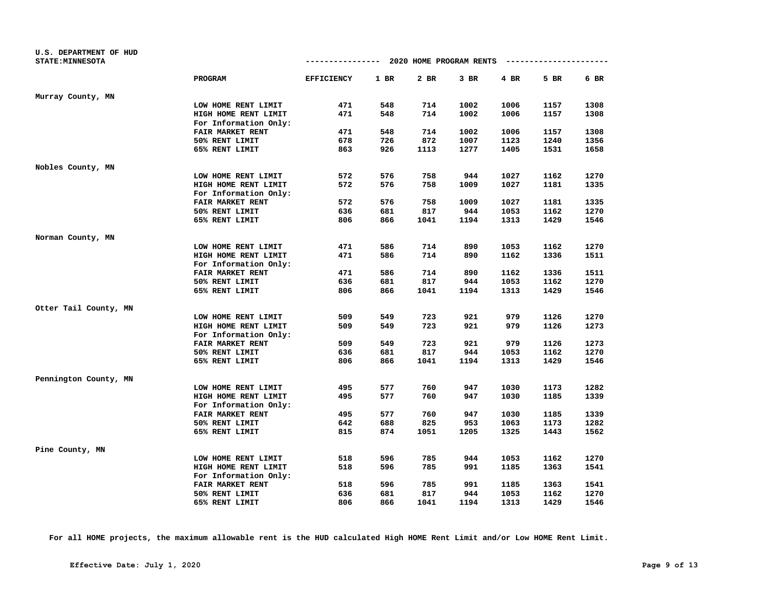| U.S. DEPARTMENT OF HUD<br><b>STATE: MINNESOTA</b> |                         | ------------ 2020 HOME PROGRAM RENTS |      |      |      |        | -------------------- |      |
|---------------------------------------------------|-------------------------|--------------------------------------|------|------|------|--------|----------------------|------|
|                                                   |                         |                                      |      |      |      |        |                      |      |
|                                                   | PROGRAM                 | <b>EFFICIENCY</b>                    | 1 BR | 2 BR | 3 BR | $4$ BR | 5 BR                 | 6 BR |
| Murray County, MN                                 |                         |                                      |      |      |      |        |                      |      |
|                                                   | LOW HOME RENT LIMIT     | 471                                  | 548  | 714  | 1002 | 1006   | 1157                 | 1308 |
|                                                   | HIGH HOME RENT LIMIT    | 471                                  | 548  | 714  | 1002 | 1006   | 1157                 | 1308 |
|                                                   | For Information Only:   |                                      |      |      |      |        |                      |      |
|                                                   | FAIR MARKET RENT        | 471                                  | 548  | 714  | 1002 | 1006   | 1157                 | 1308 |
|                                                   | 50% RENT LIMIT          | 678                                  | 726  | 872  | 1007 | 1123   | 1240                 | 1356 |
|                                                   | 65% RENT LIMIT          | 863                                  | 926  | 1113 | 1277 | 1405   | 1531                 | 1658 |
| Nobles County, MN                                 |                         |                                      |      |      |      |        |                      |      |
|                                                   | LOW HOME RENT LIMIT     | 572                                  | 576  | 758  | 944  | 1027   | 1162                 | 1270 |
|                                                   | HIGH HOME RENT LIMIT    | 572                                  | 576  | 758  | 1009 | 1027   | 1181                 | 1335 |
|                                                   | For Information Only:   |                                      |      |      |      |        |                      |      |
|                                                   | FAIR MARKET RENT        | 572                                  | 576  | 758  | 1009 | 1027   | 1181                 | 1335 |
|                                                   | 50% RENT LIMIT          | 636                                  | 681  | 817  | 944  | 1053   | 1162                 | 1270 |
|                                                   | 65% RENT LIMIT          | 806                                  | 866  | 1041 | 1194 | 1313   | 1429                 | 1546 |
| Norman County, MN                                 |                         |                                      |      |      |      |        |                      |      |
|                                                   | LOW HOME RENT LIMIT     | 471                                  | 586  | 714  | 890  | 1053   | 1162                 | 1270 |
|                                                   | HIGH HOME RENT LIMIT    | 471                                  | 586  | 714  | 890  | 1162   | 1336                 | 1511 |
|                                                   | For Information Only:   |                                      |      |      |      |        |                      |      |
|                                                   | FAIR MARKET RENT        | 471                                  | 586  | 714  | 890  | 1162   | 1336                 | 1511 |
|                                                   | 50% RENT LIMIT          | 636                                  | 681  | 817  | 944  | 1053   | 1162                 | 1270 |
|                                                   | 65% RENT LIMIT          | 806                                  | 866  | 1041 | 1194 | 1313   | 1429                 | 1546 |
| Otter Tail County, MN                             |                         |                                      |      |      |      |        |                      |      |
|                                                   | LOW HOME RENT LIMIT     | 509                                  | 549  | 723  | 921  | 979    | 1126                 | 1270 |
|                                                   | HIGH HOME RENT LIMIT    | 509                                  | 549  | 723  | 921  | 979    | 1126                 | 1273 |
|                                                   | For Information Only:   |                                      |      |      |      |        |                      |      |
|                                                   | <b>FAIR MARKET RENT</b> | 509                                  | 549  | 723  | 921  | 979    | 1126                 | 1273 |
|                                                   | 50% RENT LIMIT          | 636                                  | 681  | 817  | 944  | 1053   | 1162                 | 1270 |
|                                                   | 65% RENT LIMIT          | 806                                  | 866  | 1041 | 1194 | 1313   | 1429                 | 1546 |
| Pennington County, MN                             |                         |                                      |      |      |      |        |                      |      |
|                                                   | LOW HOME RENT LIMIT     | 495                                  | 577  | 760  | 947  | 1030   | 1173                 | 1282 |
|                                                   | HIGH HOME RENT LIMIT    | 495                                  | 577  | 760  | 947  | 1030   | 1185                 | 1339 |
|                                                   | For Information Only:   |                                      |      |      |      |        |                      |      |
|                                                   | FAIR MARKET RENT        | 495                                  | 577  | 760  | 947  | 1030   | 1185                 | 1339 |
|                                                   | 50% RENT LIMIT          | 642                                  | 688  | 825  | 953  | 1063   | 1173                 | 1282 |
|                                                   | 65% RENT LIMIT          | 815                                  | 874  | 1051 | 1205 | 1325   | 1443                 | 1562 |
| Pine County, MN                                   |                         |                                      |      |      |      |        |                      |      |
|                                                   | LOW HOME RENT LIMIT     | 518                                  | 596  | 785  | 944  | 1053   | 1162                 | 1270 |
|                                                   | HIGH HOME RENT LIMIT    | 518                                  | 596  | 785  | 991  | 1185   | 1363                 | 1541 |
|                                                   | For Information Only:   |                                      |      |      |      |        |                      |      |
|                                                   | FAIR MARKET RENT        | 518                                  | 596  | 785  | 991  | 1185   | 1363                 | 1541 |
|                                                   | 50% RENT LIMIT          | 636                                  | 681  | 817  | 944  | 1053   | 1162                 | 1270 |
|                                                   | 65% RENT LIMIT          | 806                                  | 866  | 1041 | 1194 | 1313   | 1429                 | 1546 |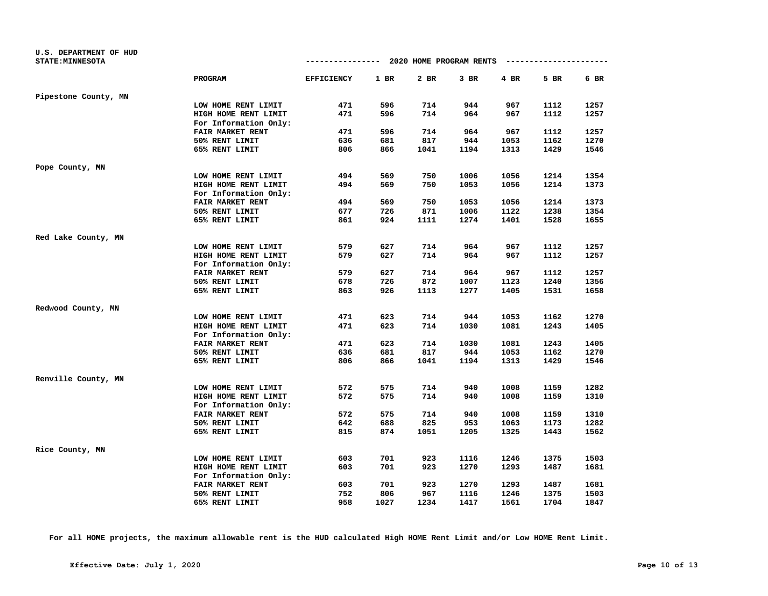| <b>U.S. DEPARTMENT OF HUD</b> |                         |                                        |      |        |        |        |                       |      |
|-------------------------------|-------------------------|----------------------------------------|------|--------|--------|--------|-----------------------|------|
| <b>STATE: MINNESOTA</b>       |                         | -------------- 2020 HOME PROGRAM RENTS |      |        |        |        | --------------------- |      |
|                               | <b>PROGRAM</b>          | <b>EFFICIENCY</b>                      | 1 BR | $2$ BR | $3$ BR | $4$ BR | 5 BR                  | 6 BR |
| Pipestone County, MN          |                         |                                        |      |        |        |        |                       |      |
|                               | LOW HOME RENT LIMIT     | 471                                    | 596  | 714    | 944    | 967    | 1112                  | 1257 |
|                               | HIGH HOME RENT LIMIT    | 471                                    | 596  | 714    | 964    | 967    | 1112                  | 1257 |
|                               | For Information Only:   |                                        |      |        |        |        |                       |      |
|                               | FAIR MARKET RENT        | 471                                    | 596  | 714    | 964    | 967    | 1112                  | 1257 |
|                               | 50% RENT LIMIT          | 636                                    | 681  | 817    | 944    | 1053   | 1162                  | 1270 |
|                               | 65% RENT LIMIT          | 806                                    | 866  | 1041   | 1194   | 1313   | 1429                  | 1546 |
| Pope County, MN               |                         |                                        |      |        |        |        |                       |      |
|                               | LOW HOME RENT LIMIT     | 494                                    | 569  | 750    | 1006   | 1056   | 1214                  | 1354 |
|                               | HIGH HOME RENT LIMIT    | 494                                    | 569  | 750    | 1053   | 1056   | 1214                  | 1373 |
|                               | For Information Only:   |                                        |      |        |        |        |                       |      |
|                               | FAIR MARKET RENT        | 494                                    | 569  | 750    | 1053   | 1056   | 1214                  | 1373 |
|                               | 50% RENT LIMIT          | 677                                    | 726  | 871    | 1006   | 1122   | 1238                  | 1354 |
|                               | 65% RENT LIMIT          | 861                                    | 924  | 1111   | 1274   | 1401   | 1528                  | 1655 |
| Red Lake County, MN           |                         |                                        |      |        |        |        |                       |      |
|                               | LOW HOME RENT LIMIT     | 579                                    | 627  | 714    | 964    | 967    | 1112                  | 1257 |
|                               | HIGH HOME RENT LIMIT    | 579                                    | 627  | 714    | 964    | 967    | 1112                  | 1257 |
|                               | For Information Only:   |                                        |      |        |        |        |                       |      |
|                               | FAIR MARKET RENT        | 579                                    | 627  | 714    | 964    | 967    | 1112                  | 1257 |
|                               | 50% RENT LIMIT          | 678                                    | 726  | 872    | 1007   | 1123   | 1240                  | 1356 |
|                               | 65% RENT LIMIT          | 863                                    | 926  | 1113   | 1277   | 1405   | 1531                  | 1658 |
| Redwood County, MN            |                         |                                        |      |        |        |        |                       |      |
|                               | LOW HOME RENT LIMIT     | 471                                    | 623  | 714    | 944    | 1053   | 1162                  | 1270 |
|                               | HIGH HOME RENT LIMIT    | 471                                    | 623  | 714    | 1030   | 1081   | 1243                  | 1405 |
|                               | For Information Only:   |                                        |      |        |        |        |                       |      |
|                               | <b>FAIR MARKET RENT</b> | 471                                    | 623  | 714    | 1030   | 1081   | 1243                  | 1405 |
|                               | 50% RENT LIMIT          | 636                                    | 681  | 817    | 944    | 1053   | 1162                  | 1270 |
|                               | 65% RENT LIMIT          | 806                                    | 866  | 1041   | 1194   | 1313   | 1429                  | 1546 |
| Renville County, MN           |                         |                                        |      |        |        |        |                       |      |
|                               | LOW HOME RENT LIMIT     | 572                                    | 575  | 714    | 940    | 1008   | 1159                  | 1282 |
|                               | HIGH HOME RENT LIMIT    | 572                                    | 575  | 714    | 940    | 1008   | 1159                  | 1310 |
|                               | For Information Only:   |                                        |      |        |        |        |                       |      |
|                               | FAIR MARKET RENT        | 572                                    | 575  | 714    | 940    | 1008   | 1159                  | 1310 |
|                               | 50% RENT LIMIT          | 642                                    | 688  | 825    | 953    | 1063   | 1173                  | 1282 |
|                               | 65% RENT LIMIT          | 815                                    | 874  | 1051   | 1205   | 1325   | 1443                  | 1562 |
| Rice County, MN               |                         |                                        |      |        |        |        |                       |      |
|                               | LOW HOME RENT LIMIT     | 603                                    | 701  | 923    | 1116   | 1246   | 1375                  | 1503 |
|                               | HIGH HOME RENT LIMIT    | 603                                    | 701  | 923    | 1270   | 1293   | 1487                  | 1681 |
|                               | For Information Only:   |                                        |      |        |        |        |                       |      |
|                               | FAIR MARKET RENT        | 603                                    | 701  | 923    | 1270   | 1293   | 1487                  | 1681 |
|                               | 50% RENT LIMIT          | 752                                    | 806  | 967    | 1116   | 1246   | 1375                  | 1503 |
|                               | 65% RENT LIMIT          | 958                                    | 1027 | 1234   | 1417   | 1561   | 1704                  | 1847 |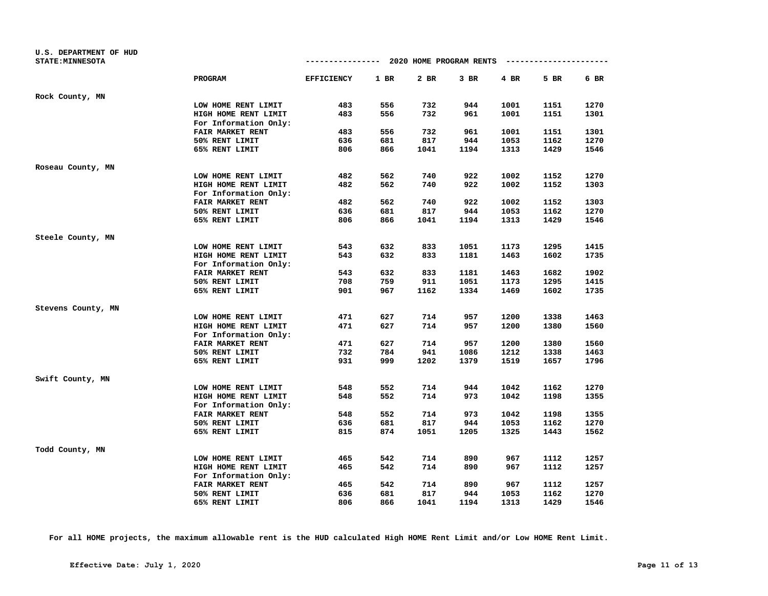| U.S. DEPARTMENT OF HUD<br><b>STATE: MINNESOTA</b> |                                           | $--------- 2020$ HOME PROGRAM RENTS |        |            |             |      | --------------------- |      |
|---------------------------------------------------|-------------------------------------------|-------------------------------------|--------|------------|-------------|------|-----------------------|------|
|                                                   | <b>PROGRAM</b>                            | <b>EFFICIENCY</b>                   | $1$ BR | 2 BR       | $3$ BR      | 4 BR | 5 BR                  | 6 BR |
| Rock County, MN                                   |                                           |                                     |        |            |             |      |                       |      |
|                                                   | LOW HOME RENT LIMIT                       | 483                                 | 556    | 732        | 944         | 1001 | 1151                  | 1270 |
|                                                   | HIGH HOME RENT LIMIT                      | 483                                 | 556    | 732        | 961         | 1001 | 1151                  | 1301 |
|                                                   | For Information Only:                     |                                     |        |            |             |      |                       |      |
|                                                   | FAIR MARKET RENT                          | 483                                 | 556    | 732        | 961         | 1001 | 1151                  | 1301 |
|                                                   | 50% RENT LIMIT                            | 636                                 | 681    | 817        | 944         | 1053 | 1162                  | 1270 |
|                                                   | 65% RENT LIMIT                            | 806                                 | 866    | 1041       | 1194        | 1313 | 1429                  | 1546 |
| Roseau County, MN                                 |                                           |                                     |        |            |             |      |                       |      |
|                                                   | LOW HOME RENT LIMIT                       | 482                                 | 562    | 740        | 922         | 1002 | 1152                  | 1270 |
|                                                   | HIGH HOME RENT LIMIT                      | 482                                 | 562    | 740        | 922         | 1002 | 1152                  | 1303 |
|                                                   | For Information Only:                     |                                     |        |            |             |      |                       |      |
|                                                   | FAIR MARKET RENT                          | 482                                 | 562    | 740        | 922         | 1002 | 1152                  | 1303 |
|                                                   | 50% RENT LIMIT                            | 636                                 | 681    | 817        | 944         | 1053 | 1162                  | 1270 |
|                                                   | 65% RENT LIMIT                            | 806                                 | 866    | 1041       | 1194        | 1313 | 1429                  | 1546 |
| Steele County, MN                                 |                                           |                                     |        |            |             |      |                       |      |
|                                                   | LOW HOME RENT LIMIT                       | 543                                 | 632    | 833        | 1051        | 1173 | 1295                  | 1415 |
|                                                   | HIGH HOME RENT LIMIT                      | 543                                 | 632    | 833        | 1181        | 1463 | 1602                  | 1735 |
|                                                   | For Information Only:                     |                                     |        |            |             |      |                       |      |
|                                                   | <b>FAIR MARKET RENT</b>                   | 543                                 | 632    | 833        | 1181        | 1463 | 1682                  | 1902 |
|                                                   | 50% RENT LIMIT                            | 708                                 | 759    | 911        | 1051        | 1173 | 1295                  | 1415 |
|                                                   | 65% RENT LIMIT                            | 901                                 | 967    | 1162       | 1334        | 1469 | 1602                  | 1735 |
| Stevens County, MN                                |                                           |                                     |        |            |             |      |                       |      |
|                                                   | LOW HOME RENT LIMIT                       | 471                                 | 627    | 714        | 957         | 1200 | 1338                  | 1463 |
|                                                   | HIGH HOME RENT LIMIT                      | 471                                 | 627    | 714        | 957         | 1200 | 1380                  | 1560 |
|                                                   | For Information Only:                     | 471                                 | 627    |            |             | 1200 |                       | 1560 |
|                                                   | FAIR MARKET RENT<br>50% RENT LIMIT        | 732                                 | 784    | 714<br>941 | 957<br>1086 | 1212 | 1380<br>1338          | 1463 |
|                                                   | 65% RENT LIMIT                            | 931                                 | 999    | 1202       | 1379        | 1519 | 1657                  | 1796 |
|                                                   |                                           |                                     |        |            |             |      |                       |      |
| Swift County, MN                                  |                                           |                                     |        |            |             |      |                       |      |
|                                                   | LOW HOME RENT LIMIT                       | 548                                 | 552    | 714        | 944         | 1042 | 1162                  | 1270 |
|                                                   | HIGH HOME RENT LIMIT                      | 548                                 | 552    | 714        | 973         | 1042 | 1198                  | 1355 |
|                                                   | For Information Only:<br>FAIR MARKET RENT | 548                                 | 552    | 714        | 973         | 1042 | 1198                  | 1355 |
|                                                   | 50% RENT LIMIT                            | 636                                 | 681    | 817        | 944         | 1053 | 1162                  | 1270 |
|                                                   | 65% RENT LIMIT                            | 815                                 | 874    | 1051       | 1205        | 1325 | 1443                  | 1562 |
|                                                   |                                           |                                     |        |            |             |      |                       |      |
| Todd County, MN                                   |                                           |                                     |        |            |             |      |                       |      |
|                                                   | LOW HOME RENT LIMIT                       | 465                                 | 542    | 714        | 890         | 967  | 1112                  | 1257 |
|                                                   | HIGH HOME RENT LIMIT                      | 465                                 | 542    | 714        | 890         | 967  | 1112                  | 1257 |
|                                                   | For Information Only:                     |                                     |        |            |             |      |                       |      |
|                                                   | FAIR MARKET RENT                          | 465                                 | 542    | 714        | 890         | 967  | 1112                  | 1257 |
|                                                   | 50% RENT LIMIT                            | 636                                 | 681    | 817        | 944         | 1053 | 1162                  | 1270 |
|                                                   | 65% RENT LIMIT                            | 806                                 | 866    | 1041       | 1194        | 1313 | 1429                  | 1546 |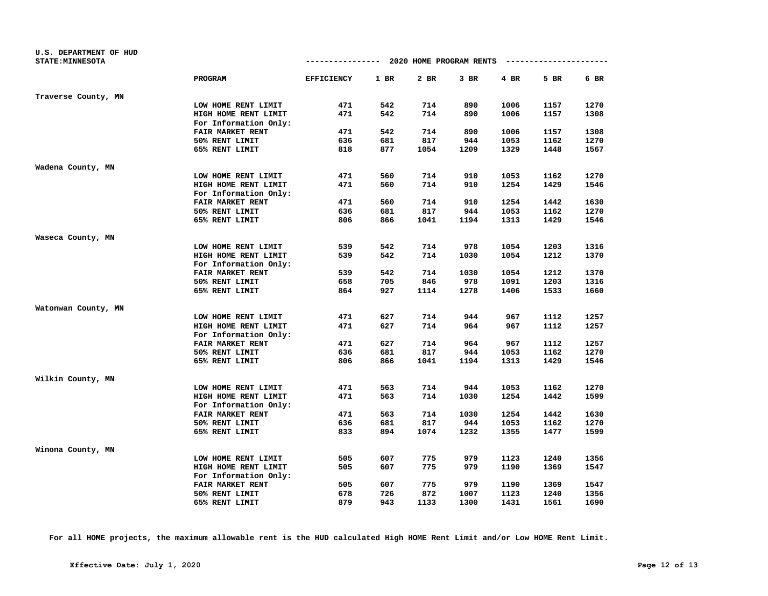| <b>U.S. DEPARTMENT OF HUD</b> |                         |                                        |        |        |        |      |                       |      |
|-------------------------------|-------------------------|----------------------------------------|--------|--------|--------|------|-----------------------|------|
| <b>STATE: MINNESOTA</b>       |                         | -------------- 2020 HOME PROGRAM RENTS |        |        |        |      | --------------------- |      |
|                               | <b>PROGRAM</b>          | <b>EFFICIENCY</b>                      | $1$ BR | $2$ BR | $3$ BR | 4 BR | 5 BR                  | 6 BR |
| Traverse County, MN           |                         |                                        |        |        |        |      |                       |      |
|                               | LOW HOME RENT LIMIT     | 471                                    | 542    | 714    | 890    | 1006 | 1157                  | 1270 |
|                               | HIGH HOME RENT LIMIT    | 471                                    | 542    | 714    | 890    | 1006 | 1157                  | 1308 |
|                               | For Information Only:   |                                        |        |        |        |      |                       |      |
|                               | FAIR MARKET RENT        | 471                                    | 542    | 714    | 890    | 1006 | 1157                  | 1308 |
|                               | 50% RENT LIMIT          | 636                                    | 681    | 817    | 944    | 1053 | 1162                  | 1270 |
|                               | 65% RENT LIMIT          | 818                                    | 877    | 1054   | 1209   | 1329 | 1448                  | 1567 |
| Wadena County, MN             |                         |                                        |        |        |        |      |                       |      |
|                               | LOW HOME RENT LIMIT     | 471                                    | 560    | 714    | 910    | 1053 | 1162                  | 1270 |
|                               | HIGH HOME RENT LIMIT    | 471                                    | 560    | 714    | 910    | 1254 | 1429                  | 1546 |
|                               | For Information Only:   |                                        |        |        |        |      |                       |      |
|                               | FAIR MARKET RENT        | 471                                    | 560    | 714    | 910    | 1254 | 1442                  | 1630 |
|                               | 50% RENT LIMIT          | 636                                    | 681    | 817    | 944    | 1053 | 1162                  | 1270 |
|                               | 65% RENT LIMIT          | 806                                    | 866    | 1041   | 1194   | 1313 | 1429                  | 1546 |
| Waseca County, MN             |                         |                                        |        |        |        |      |                       |      |
|                               | LOW HOME RENT LIMIT     | 539                                    | 542    | 714    | 978    | 1054 | 1203                  | 1316 |
|                               | HIGH HOME RENT LIMIT    | 539                                    | 542    | 714    | 1030   | 1054 | 1212                  | 1370 |
|                               | For Information Only:   |                                        |        |        |        |      |                       |      |
|                               | <b>FAIR MARKET RENT</b> | 539                                    | 542    | 714    | 1030   | 1054 | 1212                  | 1370 |
|                               | 50% RENT LIMIT          | 658                                    | 705    | 846    | 978    | 1091 | 1203                  | 1316 |
|                               | 65% RENT LIMIT          | 864                                    | 927    | 1114   | 1278   | 1406 | 1533                  | 1660 |
| Watonwan County, MN           |                         |                                        |        |        |        |      |                       |      |
|                               | LOW HOME RENT LIMIT     | 471                                    | 627    | 714    | 944    | 967  | 1112                  | 1257 |
|                               | HIGH HOME RENT LIMIT    | 471                                    | 627    | 714    | 964    | 967  | 1112                  | 1257 |
|                               | For Information Only:   |                                        |        |        |        |      |                       |      |
|                               | <b>FAIR MARKET RENT</b> | 471                                    | 627    | 714    | 964    | 967  | 1112                  | 1257 |
|                               | 50% RENT LIMIT          | 636                                    | 681    | 817    | 944    | 1053 | 1162                  | 1270 |
|                               | 65% RENT LIMIT          | 806                                    | 866    | 1041   | 1194   | 1313 | 1429                  | 1546 |
| Wilkin County, MN             |                         |                                        |        |        |        |      |                       |      |
|                               | LOW HOME RENT LIMIT     | 471                                    | 563    | 714    | 944    | 1053 | 1162                  | 1270 |
|                               | HIGH HOME RENT LIMIT    | 471                                    | 563    | 714    | 1030   | 1254 | 1442                  | 1599 |
|                               | For Information Only:   |                                        |        |        |        |      |                       |      |
|                               | FAIR MARKET RENT        | 471                                    | 563    | 714    | 1030   | 1254 | 1442                  | 1630 |
|                               | 50% RENT LIMIT          | 636                                    | 681    | 817    | 944    | 1053 | 1162                  | 1270 |
|                               | 65% RENT LIMIT          | 833                                    | 894    | 1074   | 1232   | 1355 | 1477                  | 1599 |
| Winona County, MN             |                         |                                        |        |        |        |      |                       |      |
|                               | LOW HOME RENT LIMIT     | 505                                    | 607    | 775    | 979    | 1123 | 1240                  | 1356 |
|                               | HIGH HOME RENT LIMIT    | 505                                    | 607    | 775    | 979    | 1190 | 1369                  | 1547 |
|                               | For Information Only:   |                                        |        |        |        |      |                       |      |
|                               | FAIR MARKET RENT        | 505                                    | 607    | 775    | 979    | 1190 | 1369                  | 1547 |
|                               | 50% RENT LIMIT          | 678                                    | 726    | 872    | 1007   | 1123 | 1240                  | 1356 |
|                               | 65% RENT LIMIT          | 879                                    | 943    | 1133   | 1300   | 1431 | 1561                  | 1690 |